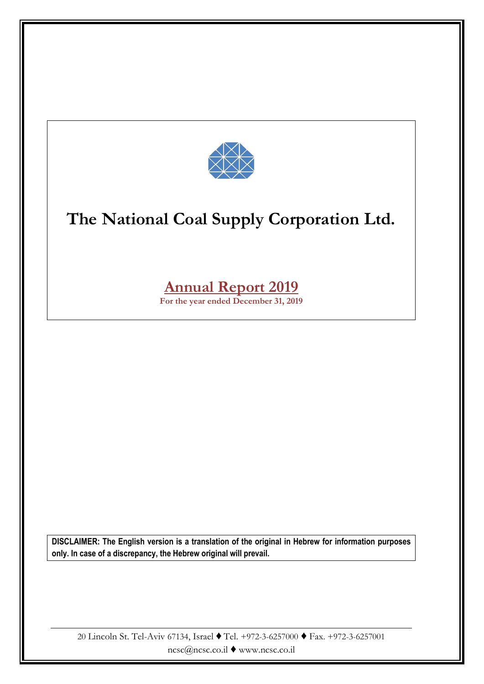

# **Annual Report 2019**

**For the year ended December 31, 2019**

**DISCLAIMER: The English version is a translation of the original in Hebrew for information purposes only. In case of a discrepancy, the Hebrew original will prevail.**

20 Lincoln St. Tel-Aviv 67134, Israel ♦ Tel. +972-3-6257000 ♦ Fax. +972-3-6257001 ncsc@ncsc.co.il ♦ www.ncsc.co.il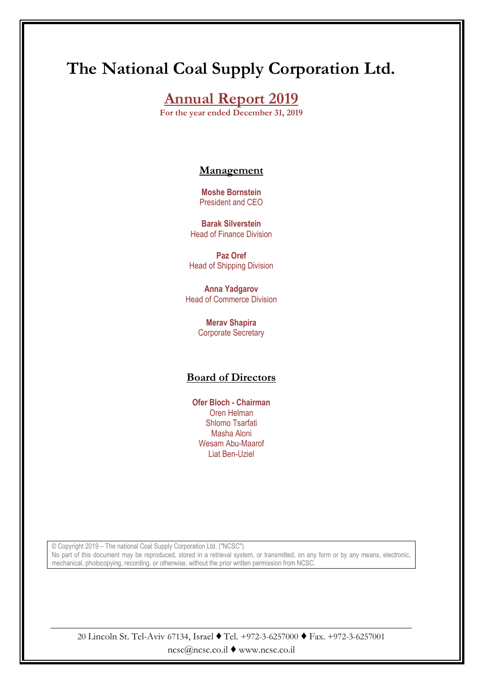# **Annual Report 2019**

**For the year ended December 31, 2019**

### **Management**

**Moshe Bornstein** President and CEO

**Barak Silverstein** Head of Finance Division

**Paz Oref** Head of Shipping Division

**Anna Yadgarov** Head of Commerce Division

> **Merav Shapira** Corporate Secretary

### **Board of Directors**

**Ofer Bloch - Chairman** Oren Helman Shlomo Tsarfati Masha Aloni Wesam Abu-Maarof Liat Ben-Uziel

© Copyright 2019 – The national Coal Supply Corporation Ltd. ("NCSC"). No part of this document may be reproduced, stored in a retrieval system, or transmitted, on any form or by any means, electronic, mechanical, photocopying, recording, or otherwise, without the prior written permission from NCSC.

20 Lincoln St. Tel-Aviv 67134, Israel ♦ Tel. +972-3-6257000 ♦ Fax. +972-3-6257001 ncsc@ncsc.co.il ♦ www.ncsc.co.il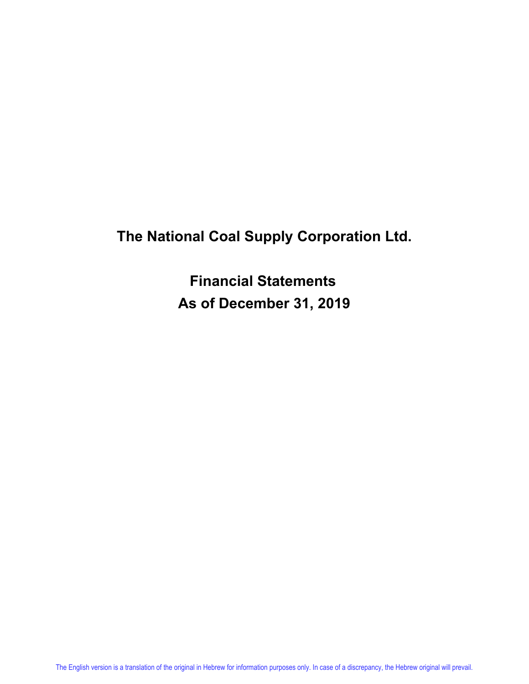**Financial Statements As of December 31, 2019**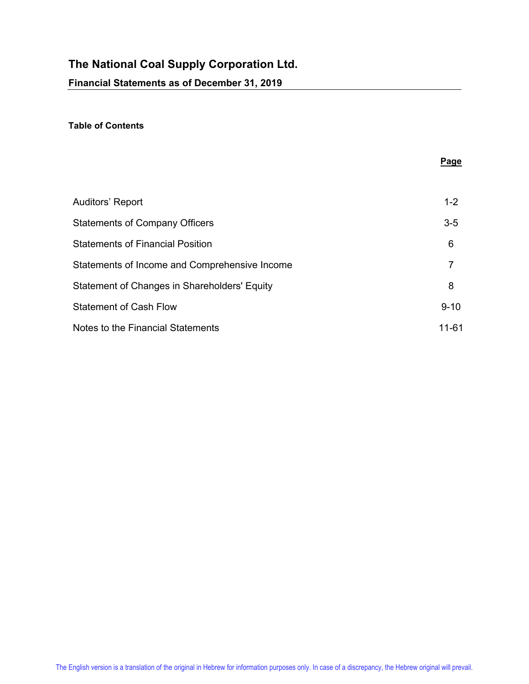#### **Table of Contents**

|                                               | Page     |
|-----------------------------------------------|----------|
|                                               |          |
| Auditors' Report                              | $1 - 2$  |
| <b>Statements of Company Officers</b>         | $3-5$    |
| <b>Statements of Financial Position</b>       | 6        |
| Statements of Income and Comprehensive Income | 7        |
| Statement of Changes in Shareholders' Equity  | 8        |
| <b>Statement of Cash Flow</b>                 | $9 - 10$ |
| Notes to the Financial Statements             | 11-61    |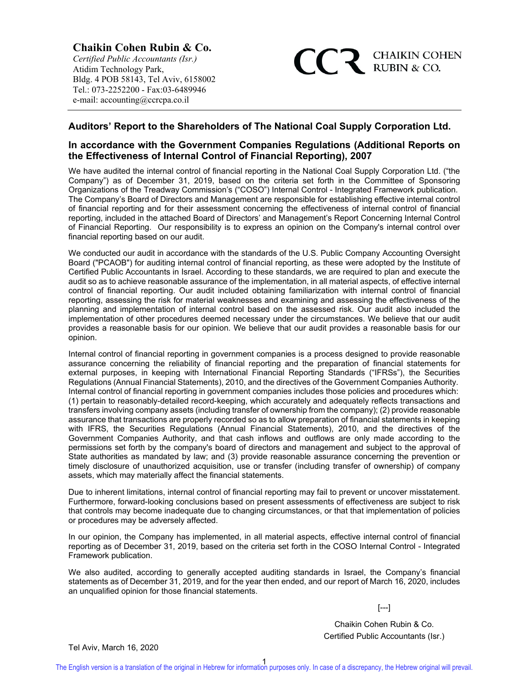**Chaikin Cohen Rubin & Co.** *Certified Public Accountants (Isr.)* Atidim Technology Park, Bldg. 4 POB 58143, Tel Aviv, 6158002 Tel.: 073-2252200 - Fax: 03-6489946 e-mail: accounting@ccrcpa.co.il



#### **Auditors' Report to the Shareholders of The National Coal Supply Corporation Ltd.**

#### **In accordance with the Government Companies Regulations (Additional Reports on the Effectiveness of Internal Control of Financial Reporting), 2007**

We have audited the internal control of financial reporting in the National Coal Supply Corporation Ltd. ("the Company") as of December 31, 2019, based on the criteria set forth in the Committee of Sponsoring Organizations of the Treadway Commission's ("COSO") Internal Control - Integrated Framework publication. The Company's Board of Directors and Management are responsible for establishing effective internal control of financial reporting and for their assessment concerning the effectiveness of internal control of financial reporting, included in the attached Board of Directors' and Management's Report Concerning Internal Control of Financial Reporting. Our responsibility is to express an opinion on the Company's internal control over financial reporting based on our audit.

We conducted our audit in accordance with the standards of the U.S. Public Company Accounting Oversight Board ("PCAOB") for auditing internal control of financial reporting, as these were adopted by the Institute of Certified Public Accountants in Israel. According to these standards, we are required to plan and execute the audit so as to achieve reasonable assurance of the implementation, in all material aspects, of effective internal control of financial reporting. Our audit included obtaining familiarization with internal control of financial reporting, assessing the risk for material weaknesses and examining and assessing the effectiveness of the planning and implementation of internal control based on the assessed risk. Our audit also included the implementation of other procedures deemed necessary under the circumstances. We believe that our audit provides a reasonable basis for our opinion. We believe that our audit provides a reasonable basis for our opinion.

Internal control of financial reporting in government companies is a process designed to provide reasonable assurance concerning the reliability of financial reporting and the preparation of financial statements for external purposes, in keeping with International Financial Reporting Standards ("IFRSs"), the Securities Regulations (Annual Financial Statements), 2010, and the directives of the Government Companies Authority. Internal control of financial reporting in government companies includes those policies and procedures which: (1) pertain to reasonably-detailed record-keeping, which accurately and adequately reflects transactions and transfers involving company assets (including transfer of ownership from the company); (2) provide reasonable assurance that transactions are properly recorded so as to allow preparation of financial statements in keeping with IFRS, the Securities Regulations (Annual Financial Statements), 2010, and the directives of the Government Companies Authority, and that cash inflows and outflows are only made according to the permissions set forth by the company's board of directors and management and subject to the approval of State authorities as mandated by law; and (3) provide reasonable assurance concerning the prevention or timely disclosure of unauthorized acquisition, use or transfer (including transfer of ownership) of company assets, which may materially affect the financial statements.

Due to inherent limitations, internal control of financial reporting may fail to prevent or uncover misstatement. Furthermore, forward-looking conclusions based on present assessments of effectiveness are subject to risk that controls may become inadequate due to changing circumstances, or that that implementation of policies or procedures may be adversely affected.

In our opinion, the Company has implemented, in all material aspects, effective internal control of financial reporting as of December 31, 2019, based on the criteria set forth in the COSO Internal Control - Integrated Framework publication.

We also audited, according to generally accepted auditing standards in Israel, the Company's financial statements as of December 31, 2019, and for the year then ended, and our report of March 16, 2020, includes an unqualified opinion for those financial statements.

[---]

Chaikin Cohen Rubin & Co. Certified Public Accountants (Isr.)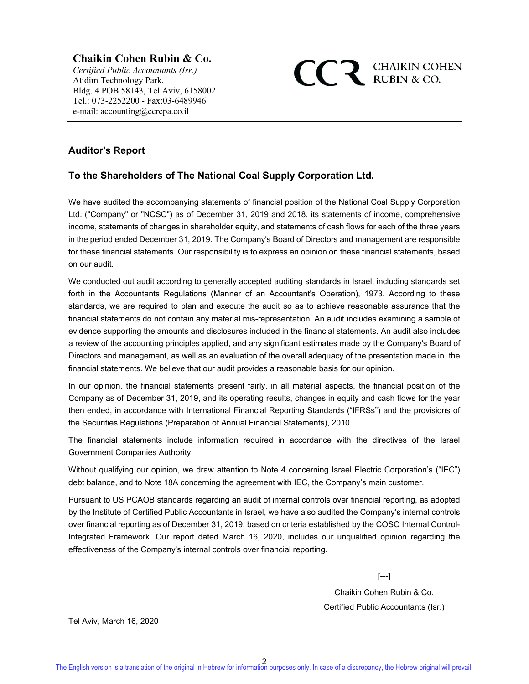### **Chaikin Cohen Rubin & Co.**

*Certified Public Accountants (Isr.)* Atidim Technology Park, Bldg. 4 POB 58143, Tel Aviv, 6158002 Tel.: 073-2252200 - Fax: 03-6489946 e-mail: accounting@ccrcpa.co.il



### **Auditor's Report**

### **To the Shareholders of The National Coal Supply Corporation Ltd.**

We have audited the accompanying statements of financial position of the National Coal Supply Corporation Ltd. ("Company" or "NCSC") as of December 31, 2019 and 2018, its statements of income, comprehensive income, statements of changes in shareholder equity, and statements of cash flows for each of the three years in the period ended December 31, 2019. The Company's Board of Directors and management are responsible for these financial statements. Our responsibility is to express an opinion on these financial statements, based on our audit.

We conducted out audit according to generally accepted auditing standards in Israel, including standards set forth in the Accountants Regulations (Manner of an Accountant's Operation), 1973. According to these standards, we are required to plan and execute the audit so as to achieve reasonable assurance that the financial statements do not contain any material mis-representation. An audit includes examining a sample of evidence supporting the amounts and disclosures included in the financial statements. An audit also includes a review of the accounting principles applied, and any significant estimates made by the Company's Board of Directors and management, as well as an evaluation of the overall adequacy of the presentation made in the financial statements. We believe that our audit provides a reasonable basis for our opinion.

In our opinion, the financial statements present fairly, in all material aspects, the financial position of the Company as of December 31, 2019, and its operating results, changes in equity and cash flows for the year then ended, in accordance with International Financial Reporting Standards ("IFRSs") and the provisions of the Securities Regulations (Preparation of Annual Financial Statements), 2010.

The financial statements include information required in accordance with the directives of the Israel Government Companies Authority.

Without qualifying our opinion, we draw attention to Note 4 concerning Israel Electric Corporation's ("IEC") debt balance, and to Note 18A concerning the agreement with IEC, the Company's main customer.

Pursuant to US PCAOB standards regarding an audit of internal controls over financial reporting, as adopted by the Institute of Certified Public Accountants in Israel, we have also audited the Company's internal controls over financial reporting as of December 31, 2019, based on criteria established by the COSO Internal Control-Integrated Framework. Our report dated March 16, 2020, includes our unqualified opinion regarding the effectiveness of the Company's internal controls over financial reporting.

[---]

Chaikin Cohen Rubin & Co. Certified Public Accountants (Isr.)

Tel Aviv, March 16, 2020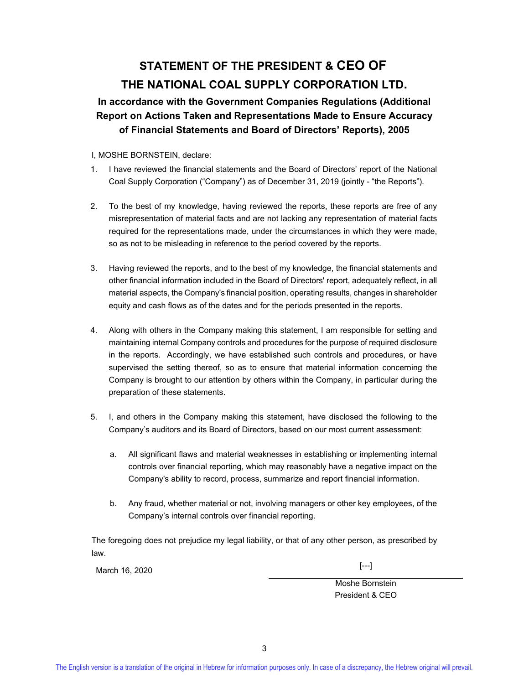# **STATEMENT OF THE PRESIDENT & CEO OF THE NATIONAL COAL SUPPLY CORPORATION LTD.**

### **In accordance with the Government Companies Regulations (Additional Report on Actions Taken and Representations Made to Ensure Accuracy of Financial Statements and Board of Directors' Reports), 2005**

#### I, MOSHE BORNSTEIN, declare:

- 1. I have reviewed the financial statements and the Board of Directors' report of the National Coal Supply Corporation ("Company") as of December 31, 2019 (jointly - "the Reports").
- 2. To the best of my knowledge, having reviewed the reports, these reports are free of any misrepresentation of material facts and are not lacking any representation of material facts required for the representations made, under the circumstances in which they were made, so as not to be misleading in reference to the period covered by the reports.
- 3. Having reviewed the reports, and to the best of my knowledge, the financial statements and other financial information included in the Board of Directors' report, adequately reflect, in all material aspects, the Company's financial position, operating results, changes in shareholder equity and cash flows as of the dates and for the periods presented in the reports.
- 4. Along with others in the Company making this statement, I am responsible for setting and maintaining internal Company controls and procedures for the purpose of required disclosure in the reports. Accordingly, we have established such controls and procedures, or have supervised the setting thereof, so as to ensure that material information concerning the Company is brought to our attention by others within the Company, in particular during the preparation of these statements.
- 5. I, and others in the Company making this statement, have disclosed the following to the Company's auditors and its Board of Directors, based on our most current assessment:
	- a. All significant flaws and material weaknesses in establishing or implementing internal controls over financial reporting, which may reasonably have a negative impact on the Company's ability to record, process, summarize and report financial information.
	- b. Any fraud, whether material or not, involving managers or other key employees, of the Company's internal controls over financial reporting.

The foregoing does not prejudice my legal liability, or that of any other person, as prescribed by law.

March 16, 2020 [---]

 Moshe Bornstein President & CEO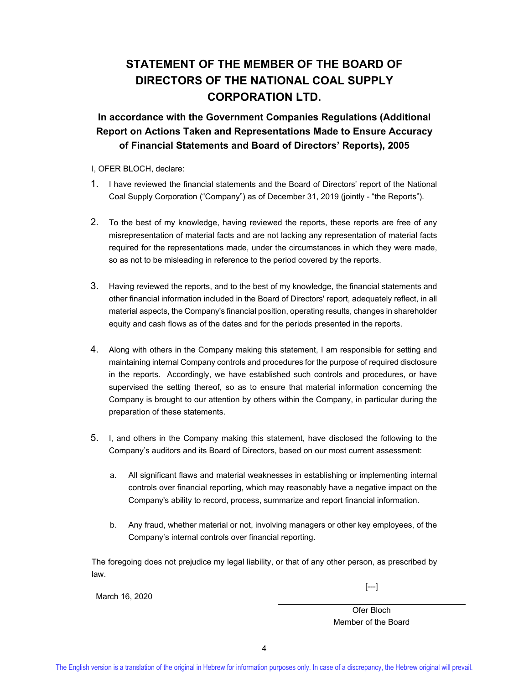# **STATEMENT OF THE MEMBER OF THE BOARD OF DIRECTORS OF THE NATIONAL COAL SUPPLY CORPORATION LTD.**

**In accordance with the Government Companies Regulations (Additional Report on Actions Taken and Representations Made to Ensure Accuracy of Financial Statements and Board of Directors' Reports), 2005** 

I, OFER BLOCH, declare:

- 1. I have reviewed the financial statements and the Board of Directors' report of the National Coal Supply Corporation ("Company") as of December 31, 2019 (jointly - "the Reports").
- 2. To the best of my knowledge, having reviewed the reports, these reports are free of any misrepresentation of material facts and are not lacking any representation of material facts required for the representations made, under the circumstances in which they were made, so as not to be misleading in reference to the period covered by the reports.
- 3. Having reviewed the reports, and to the best of my knowledge, the financial statements and other financial information included in the Board of Directors' report, adequately reflect, in all material aspects, the Company's financial position, operating results, changes in shareholder equity and cash flows as of the dates and for the periods presented in the reports.
- 4. Along with others in the Company making this statement, I am responsible for setting and maintaining internal Company controls and procedures for the purpose of required disclosure in the reports. Accordingly, we have established such controls and procedures, or have supervised the setting thereof, so as to ensure that material information concerning the Company is brought to our attention by others within the Company, in particular during the preparation of these statements.
- 5. I, and others in the Company making this statement, have disclosed the following to the Company's auditors and its Board of Directors, based on our most current assessment:
	- a. All significant flaws and material weaknesses in establishing or implementing internal controls over financial reporting, which may reasonably have a negative impact on the Company's ability to record, process, summarize and report financial information.
	- b. Any fraud, whether material or not, involving managers or other key employees, of the Company's internal controls over financial reporting.

The foregoing does not prejudice my legal liability, or that of any other person, as prescribed by law.

March 16, 2020

 $[-.]$ 

Ofer Bloch Member of the Board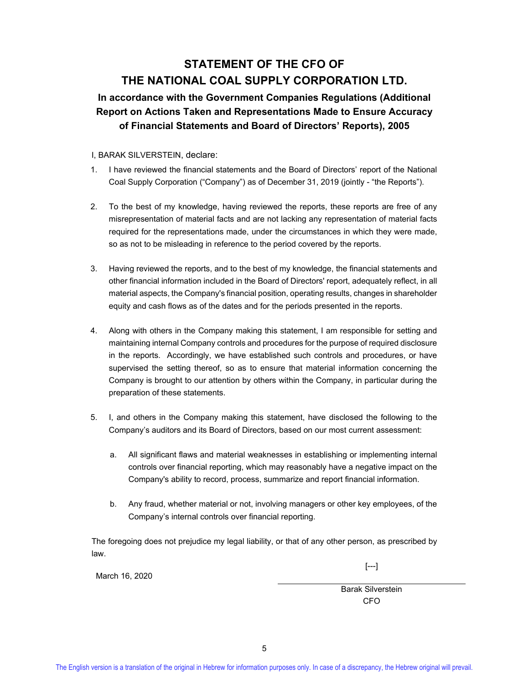# **STATEMENT OF THE CFO OF THE NATIONAL COAL SUPPLY CORPORATION LTD.**

### **In accordance with the Government Companies Regulations (Additional Report on Actions Taken and Representations Made to Ensure Accuracy of Financial Statements and Board of Directors' Reports), 2005**

#### I, BARAK SILVERSTEIN, declare:

- 1. I have reviewed the financial statements and the Board of Directors' report of the National Coal Supply Corporation ("Company") as of December 31, 2019 (jointly - "the Reports").
- 2. To the best of my knowledge, having reviewed the reports, these reports are free of any misrepresentation of material facts and are not lacking any representation of material facts required for the representations made, under the circumstances in which they were made, so as not to be misleading in reference to the period covered by the reports.
- 3. Having reviewed the reports, and to the best of my knowledge, the financial statements and other financial information included in the Board of Directors' report, adequately reflect, in all material aspects, the Company's financial position, operating results, changes in shareholder equity and cash flows as of the dates and for the periods presented in the reports.
- 4. Along with others in the Company making this statement, I am responsible for setting and maintaining internal Company controls and procedures for the purpose of required disclosure in the reports. Accordingly, we have established such controls and procedures, or have supervised the setting thereof, so as to ensure that material information concerning the Company is brought to our attention by others within the Company, in particular during the preparation of these statements.
- 5. I, and others in the Company making this statement, have disclosed the following to the Company's auditors and its Board of Directors, based on our most current assessment:
	- a. All significant flaws and material weaknesses in establishing or implementing internal controls over financial reporting, which may reasonably have a negative impact on the Company's ability to record, process, summarize and report financial information.
	- b. Any fraud, whether material or not, involving managers or other key employees, of the Company's internal controls over financial reporting.

The foregoing does not prejudice my legal liability, or that of any other person, as prescribed by law.

[---]

March 16, 2020

Barak Silverstein CFO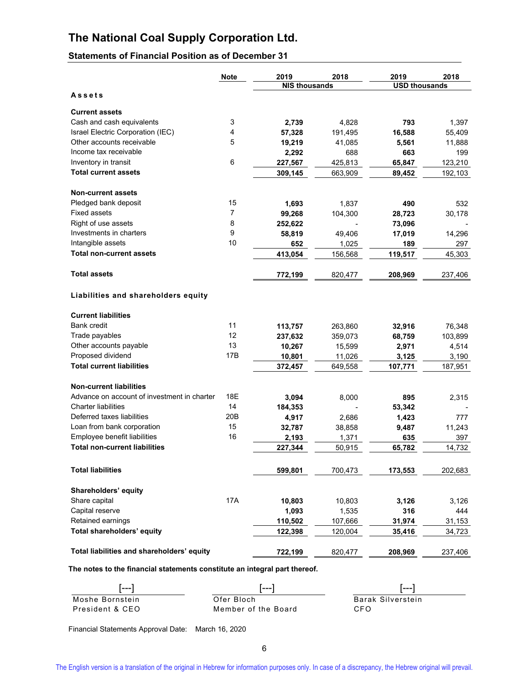### **Statements of Financial Position as of December 31**

|                                             | <b>Note</b> | 2019                 | 2018    | 2019                 | 2018    |
|---------------------------------------------|-------------|----------------------|---------|----------------------|---------|
|                                             |             | <b>NIS thousands</b> |         | <b>USD thousands</b> |         |
| Assets                                      |             |                      |         |                      |         |
| <b>Current assets</b>                       |             |                      |         |                      |         |
| Cash and cash equivalents                   | 3           | 2,739                | 4,828   | 793                  | 1,397   |
| Israel Electric Corporation (IEC)           | 4           | 57,328               | 191,495 | 16,588               | 55,409  |
| Other accounts receivable                   | 5           | 19,219               | 41,085  | 5,561                | 11,888  |
| Income tax receivable                       |             |                      | 688     | 663                  | 199     |
| Inventory in transit                        | 6           | 2,292                |         |                      |         |
| <b>Total current assets</b>                 |             | 227,567<br>309.145   | 425,813 | 65,847               | 123,210 |
|                                             |             |                      | 663,909 | 89,452               | 192,103 |
| <b>Non-current assets</b>                   |             |                      |         |                      |         |
| Pledged bank deposit                        | 15          | 1,693                | 1,837   | 490                  | 532     |
| <b>Fixed assets</b>                         | 7           | 99,268               | 104,300 | 28,723               | 30,178  |
| Right of use assets                         | 8           | 252,622              |         | 73,096               |         |
| Investments in charters                     | 9           | 58,819               | 49,406  | 17,019               | 14,296  |
| Intangible assets                           | 10          | 652                  | 1,025   | 189                  | 297     |
| <b>Total non-current assets</b>             |             | 413,054              | 156,568 | 119,517              | 45,303  |
|                                             |             |                      |         |                      |         |
| <b>Total assets</b>                         |             | 772,199              | 820,477 | 208,969              | 237,406 |
| Liabilities and shareholders equity         |             |                      |         |                      |         |
| <b>Current liabilities</b>                  |             |                      |         |                      |         |
| <b>Bank credit</b>                          | 11          | 113,757              | 263,860 | 32,916               | 76,348  |
| Trade payables                              | 12          | 237,632              | 359,073 | 68,759               | 103,899 |
| Other accounts payable                      | 13          | 10,267               | 15,599  | 2,971                | 4,514   |
| Proposed dividend                           | 17B         | 10,801               | 11,026  | 3,125                | 3,190   |
| <b>Total current liabilities</b>            |             | 372,457              | 649,558 | 107,771              | 187,951 |
|                                             |             |                      |         |                      |         |
| <b>Non-current liabilities</b>              |             |                      |         |                      |         |
| Advance on account of investment in charter | 18E         | 3,094                | 8,000   | 895                  | 2,315   |
| <b>Charter liabilities</b>                  | 14          | 184,353              |         | 53,342               |         |
| Deferred taxes liabilities                  | 20B         | 4,917                | 2,686   | 1,423                | 777     |
| Loan from bank corporation                  | 15          | 32,787               | 38,858  | 9,487                | 11,243  |
| Employee benefit liabilities                | 16          | 2,193                | 1,371   | 635                  | 397     |
| <b>Total non-current liabilities</b>        |             | 227,344              | 50,915  | 65,782               | 14,732  |
|                                             |             |                      |         |                      |         |
| <b>Total liabilities</b>                    |             | 599,801              | 700,473 | 173,553              | 202,683 |
| Shareholders' equity                        |             |                      |         |                      |         |
| Share capital                               | 17A         | 10,803               | 10,803  | 3,126                | 3,126   |
| Capital reserve                             |             | 1,093                | 1,535   | 316                  | 444     |
| Retained earnings                           |             | 110,502              | 107,666 | 31,974               | 31,153  |
| Total shareholders' equity                  |             | 122,398              | 120,004 | 35,416               | 34,723  |
|                                             |             |                      |         |                      |         |
| Total liabilities and shareholders' equity  |             | 722,199              | 820,477 | 208,969              | 237,406 |

**The notes to the financial statements constitute an integral part thereof.** 

| [---]           | l – – –             |                   |
|-----------------|---------------------|-------------------|
| Moshe Bornstein | Ofer Bloch          | Barak Silverstein |
| President & CEO | Member of the Board | CFO.              |

Financial Statements Approval Date: March 16, 2020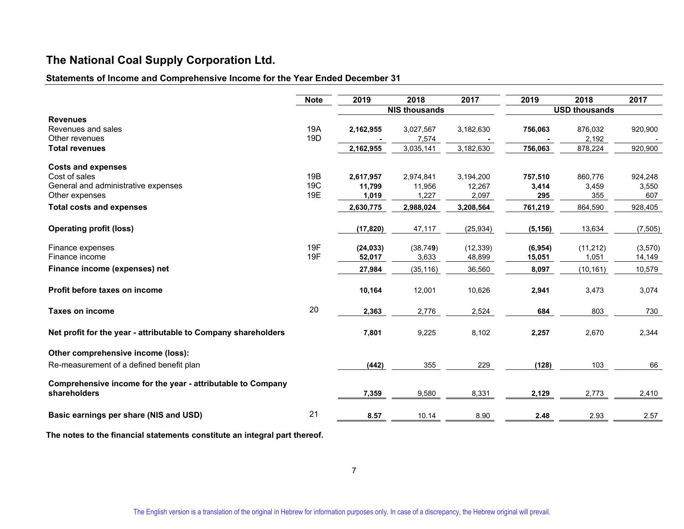### **Statements of Income and Comprehensive Income for the Year Ended December 31**

|                                                                | <b>Note</b> | 2019                 | 2018      | 2017      | 2019                 | 2018      | 2017     |  |  |
|----------------------------------------------------------------|-------------|----------------------|-----------|-----------|----------------------|-----------|----------|--|--|
|                                                                |             | <b>NIS thousands</b> |           |           | <b>USD thousands</b> |           |          |  |  |
| <b>Revenues</b>                                                |             |                      |           |           |                      |           |          |  |  |
| Revenues and sales                                             | 19A         | 2,162,955            | 3,027,567 | 3,182,630 | 756,063              | 876,032   | 920,900  |  |  |
| Other revenues                                                 | 19D         |                      | 7,574     |           |                      | 2,192     |          |  |  |
| <b>Total revenues</b>                                          |             | 2,162,955            | 3,035,141 | 3,182,630 | 756,063              | 878,224   | 920,900  |  |  |
| <b>Costs and expenses</b>                                      |             |                      |           |           |                      |           |          |  |  |
| Cost of sales                                                  | 19B         | 2,617,957            | 2,974,841 | 3,194,200 | 757,510              | 860,776   | 924,248  |  |  |
| General and administrative expenses                            | 19C         | 11,799               | 11,956    | 12,267    | 3,414                | 3,459     | 3,550    |  |  |
| Other expenses                                                 | 19E         | 1,019                | 1,227     | 2,097     | 295                  | 355       | 607      |  |  |
| <b>Total costs and expenses</b>                                |             | 2,630,775            | 2,988,024 | 3,208,564 | 761,219              | 864,590   | 928,405  |  |  |
| <b>Operating profit (loss)</b>                                 |             | (17, 820)            | 47,117    | (25, 934) | (5, 156)             | 13,634    | (7, 505) |  |  |
| Finance expenses                                               | 19F         | (24, 033)            | (38, 749) | (12, 339) | (6,954)              | (11, 212) | (3,570)  |  |  |
| Finance income                                                 | 19F         | 52,017               | 3,633     | 48,899    | 15,051               | 1,051     | 14,149   |  |  |
| Finance income (expenses) net                                  |             | 27,984               | (35, 116) | 36,560    | 8,097                | (10, 161) | 10,579   |  |  |
| Profit before taxes on income                                  |             | 10,164               | 12,001    | 10,626    | 2,941                | 3,473     | 3,074    |  |  |
| <b>Taxes on income</b>                                         | 20          | 2,363                | 2,776     | 2,524     | 684                  | 803       | 730      |  |  |
| Net profit for the year - attributable to Company shareholders |             | 7,801                | 9,225     | 8,102     | 2,257                | 2,670     | 2,344    |  |  |
| Other comprehensive income (loss):                             |             |                      |           |           |                      |           |          |  |  |
| Re-measurement of a defined benefit plan                       |             | (442)                | 355       | 229       | (128)                | 103       | 66       |  |  |
| Comprehensive income for the year - attributable to Company    |             |                      |           |           |                      |           |          |  |  |
| shareholders                                                   |             | 7,359                | 9,580     | 8,331     | 2,129                | 2,773     | 2,410    |  |  |
| Basic earnings per share (NIS and USD)                         | 21          | 8.57                 | 10.14     | 8.90      | 2.48                 | 2.93      | 2.57     |  |  |
|                                                                |             |                      |           |           |                      |           |          |  |  |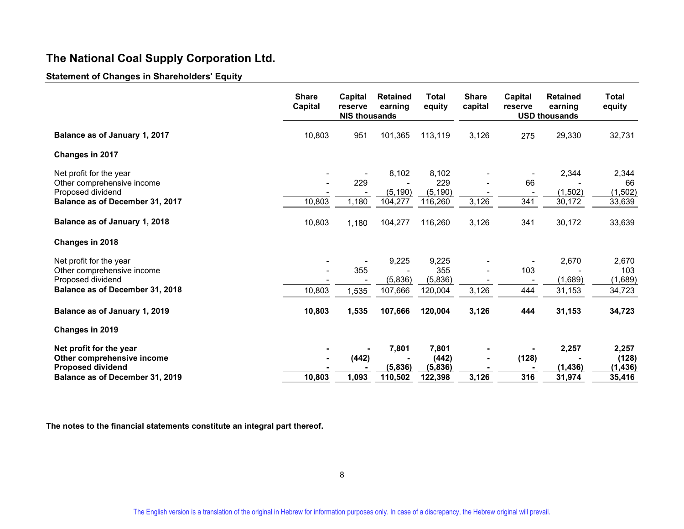#### **Statement of Changes in Shareholders' Equity**

|                                 | <b>Share</b><br>Capital | Capital<br>reserve<br><b>NIS thousands</b> | <b>Retained</b><br>earning | <b>Total</b><br>equity | <b>Share</b><br>capital | Capital<br>reserve | <b>Retained</b><br>earning<br><b>USD thousands</b> | <b>Total</b><br>equity |
|---------------------------------|-------------------------|--------------------------------------------|----------------------------|------------------------|-------------------------|--------------------|----------------------------------------------------|------------------------|
|                                 |                         |                                            |                            |                        |                         |                    |                                                    |                        |
| Balance as of January 1, 2017   | 10,803                  | 951                                        | 101,365                    | 113,119                | 3,126                   | 275                | 29,330                                             | 32,731                 |
| Changes in 2017                 |                         |                                            |                            |                        |                         |                    |                                                    |                        |
| Net profit for the year         |                         |                                            | 8,102                      | 8,102                  |                         |                    | 2,344                                              | 2,344                  |
| Other comprehensive income      |                         | 229                                        |                            | 229                    |                         | 66                 |                                                    | 66                     |
| Proposed dividend               |                         |                                            | (5, 190)                   | (5, 190)               |                         |                    | (1,502)                                            | (1, 502)               |
| Balance as of December 31, 2017 | 10,803                  | 1,180                                      | 104,277                    | 116,260                | 3,126                   | 341                | 30,172                                             | 33,639                 |
| Balance as of January 1, 2018   | 10,803                  | 1,180                                      | 104,277                    | 116,260                | 3,126                   | 341                | 30,172                                             | 33,639                 |
| Changes in 2018                 |                         |                                            |                            |                        |                         |                    |                                                    |                        |
| Net profit for the year         |                         |                                            | 9,225                      | 9,225                  |                         |                    | 2,670                                              | 2,670                  |
| Other comprehensive income      |                         | 355                                        |                            | 355                    |                         | 103                |                                                    | 103                    |
| Proposed dividend               |                         |                                            | (5,836)                    | (5,836)                |                         |                    | (1,689)                                            | (1,689)                |
| Balance as of December 31, 2018 | 10,803                  | 1,535                                      | 107,666                    | 120,004                | 3,126                   | 444                | 31,153                                             | 34,723                 |
| Balance as of January 1, 2019   | 10,803                  | 1,535                                      | 107,666                    | 120,004                | 3,126                   | 444                | 31,153                                             | 34,723                 |
| Changes in 2019                 |                         |                                            |                            |                        |                         |                    |                                                    |                        |
| Net profit for the year         |                         |                                            | 7,801                      | 7,801                  |                         |                    | 2,257                                              | 2,257                  |
| Other comprehensive income      |                         | (442)                                      |                            | (442)                  |                         | (128)              |                                                    | (128)                  |
| <b>Proposed dividend</b>        |                         |                                            | (5,836)                    | (5,836)                |                         |                    | (1, 436)                                           | (1, 436)               |
| Balance as of December 31, 2019 | 10,803                  | 1,093                                      | 110,502                    | 122,398                | 3,126                   | 316                | 31,974                                             | 35,416                 |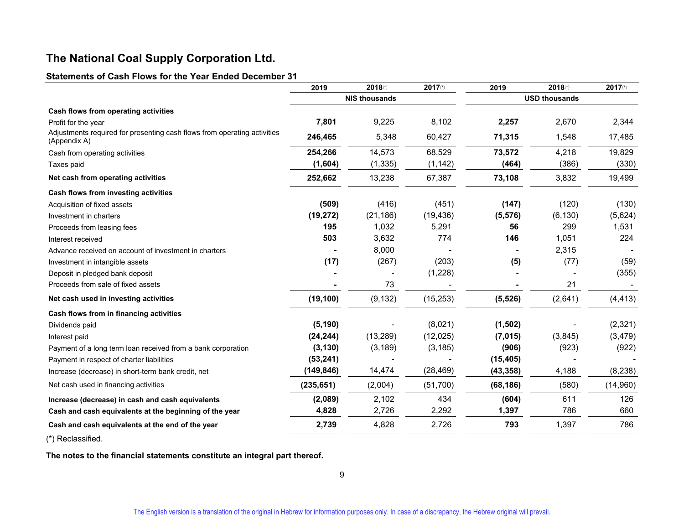#### **Statements of Cash Flows for the Year Ended December 31**

|                                                                                          | 2019                 | 2018(*)   | $2017$ (*) | 2019                 | 2018(*)  | 2017(*)  |
|------------------------------------------------------------------------------------------|----------------------|-----------|------------|----------------------|----------|----------|
|                                                                                          | <b>NIS thousands</b> |           |            | <b>USD thousands</b> |          |          |
| Cash flows from operating activities                                                     |                      |           |            |                      |          |          |
| Profit for the year                                                                      | 7,801                | 9,225     | 8,102      | 2,257                | 2,670    | 2,344    |
| Adjustments required for presenting cash flows from operating activities<br>(Appendix A) | 246,465              | 5,348     | 60,427     | 71,315               | 1,548    | 17,485   |
| Cash from operating activities                                                           | 254,266              | 14,573    | 68,529     | 73,572               | 4,218    | 19,829   |
| Taxes paid                                                                               | (1,604)              | (1, 335)  | (1, 142)   | (464)                | (386)    | (330)    |
| Net cash from operating activities                                                       | 252,662              | 13,238    | 67,387     | 73,108               | 3,832    | 19,499   |
| Cash flows from investing activities                                                     |                      |           |            |                      |          |          |
| Acquisition of fixed assets                                                              | (509)                | (416)     | (451)      | (147)                | (120)    | (130)    |
| Investment in charters                                                                   | (19, 272)            | (21, 186) | (19, 436)  | (5, 576)             | (6, 130) | (5,624)  |
| Proceeds from leasing fees                                                               | 195                  | 1,032     | 5,291      | 56                   | 299      | 1,531    |
| Interest received                                                                        | 503                  | 3,632     | 774        | 146                  | 1,051    | 224      |
| Advance received on account of investment in charters                                    |                      | 8,000     |            |                      | 2,315    |          |
| Investment in intangible assets                                                          | (17)                 | (267)     | (203)      | (5)                  | (77)     | (59)     |
| Deposit in pledged bank deposit                                                          |                      |           | (1,228)    |                      |          | (355)    |
| Proceeds from sale of fixed assets                                                       |                      | 73        |            |                      | 21       |          |
| Net cash used in investing activities                                                    | (19, 100)            | (9, 132)  | (15, 253)  | (5, 526)             | (2,641)  | (4, 413) |
| Cash flows from in financing activities                                                  |                      |           |            |                      |          |          |
| Dividends paid                                                                           | (5, 190)             |           | (8,021)    | (1, 502)             |          | (2,321)  |
| Interest paid                                                                            | (24, 244)            | (13, 289) | (12, 025)  | (7,015)              | (3,845)  | (3, 479) |
| Payment of a long term loan received from a bank corporation                             | (3, 130)             | (3, 189)  | (3, 185)   | (906)                | (923)    | (922)    |
| Payment in respect of charter liabilities                                                | (53, 241)            |           |            | (15, 405)            |          |          |
| Increase (decrease) in short-term bank credit, net                                       | (149, 846)           | 14,474    | (28, 469)  | (43, 358)            | 4,188    | (8, 238) |
| Net cash used in financing activities                                                    | (235, 651)           | (2,004)   | (51,700)   | (68, 186)            | (580)    | (14,960) |
| Increase (decrease) in cash and cash equivalents                                         | (2,089)              | 2,102     | 434        | (604)                | 611      | 126      |
| Cash and cash equivalents at the beginning of the year                                   | 4,828                | 2,726     | 2,292      | 1,397                | 786      | 660      |
| Cash and cash equivalents at the end of the year                                         | 2,739                | 4,828     | 2,726      | 793                  | 1,397    | 786      |

(\*) Reclassified.